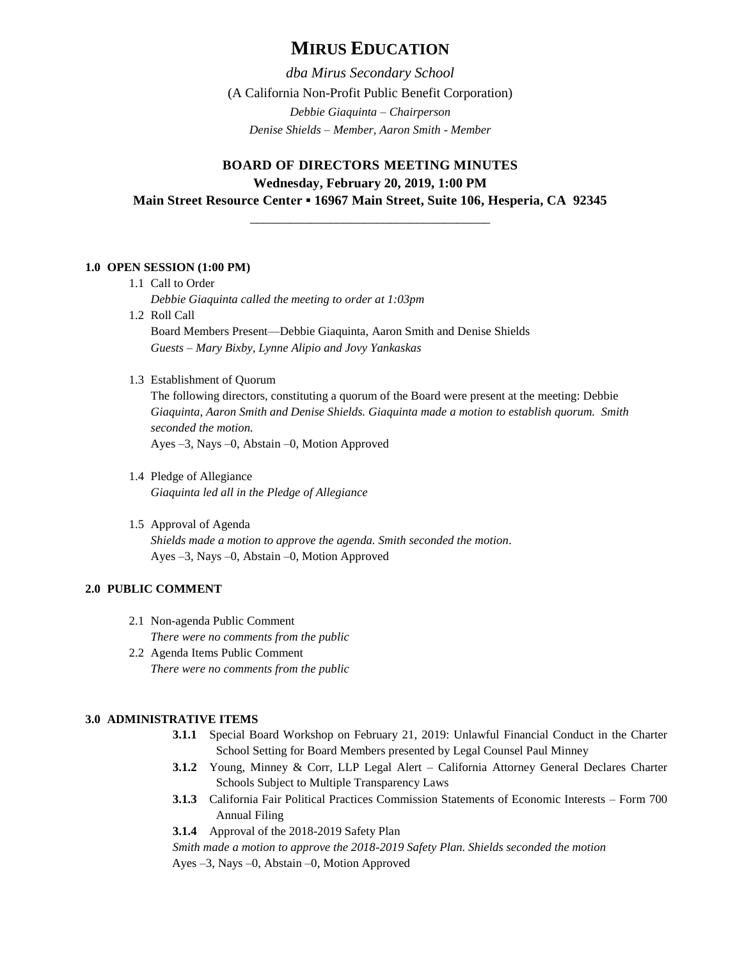# **MIRUS EDUCATION**

*dba Mirus Secondary School* (A California Non-Profit Public Benefit Corporation) *Debbie Giaquinta – Chairperson Denise Shields – Member, Aaron Smith - Member*

# **BOARD OF DIRECTORS MEETING MINUTES Wednesday, February 20, 2019, 1:00 PM Main Street Resource Center ▪ 16967 Main Street, Suite 106, Hesperia, CA 92345**

\_\_\_\_\_\_\_\_\_\_\_\_\_\_\_\_\_\_\_\_\_\_\_\_\_\_\_\_\_\_\_\_\_\_\_\_

### **1.0 OPEN SESSION (1:00 PM)**

- 1.1 Call to Order *Debbie Giaquinta called the meeting to order at 1:03pm*
- 1.2 Roll Call

Board Members Present—Debbie Giaquinta, Aaron Smith and Denise Shields *Guests – Mary Bixby, Lynne Alipio and Jovy Yankaskas*

1.3 Establishment of Quorum

The following directors, constituting a quorum of the Board were present at the meeting: Debbie *Giaquinta, Aaron Smith and Denise Shields. Giaquinta made a motion to establish quorum. Smith seconded the motion.*

Ayes –3, Nays –0, Abstain –0, Motion Approved

- 1.4 Pledge of Allegiance *Giaquinta led all in the Pledge of Allegiance*
- 1.5 Approval of Agenda *Shields made a motion to approve the agenda. Smith seconded the motion.* Ayes –3, Nays –0, Abstain –0, Motion Approved

# **2.0 PUBLIC COMMENT**

2.1 Non-agenda Public Comment

*There were no comments from the public*

2.2 Agenda Items Public Comment *There were no comments from the public*

## **3.0 ADMINISTRATIVE ITEMS**

- **3.1.1** Special Board Workshop on February 21, 2019: Unlawful Financial Conduct in the Charter School Setting for Board Members presented by Legal Counsel Paul Minney
- **3.1.2** Young, Minney & Corr, LLP Legal Alert California Attorney General Declares Charter Schools Subject to Multiple Transparency Laws
- **3.1.3** California Fair Political Practices Commission Statements of Economic Interests Form 700 Annual Filing
- **3.1.4** Approval of the 2018-2019 Safety Plan

*Smith made a motion to approve the 2018-2019 Safety Plan. Shields seconded the motion*

Ayes –3, Nays –0, Abstain –0, Motion Approved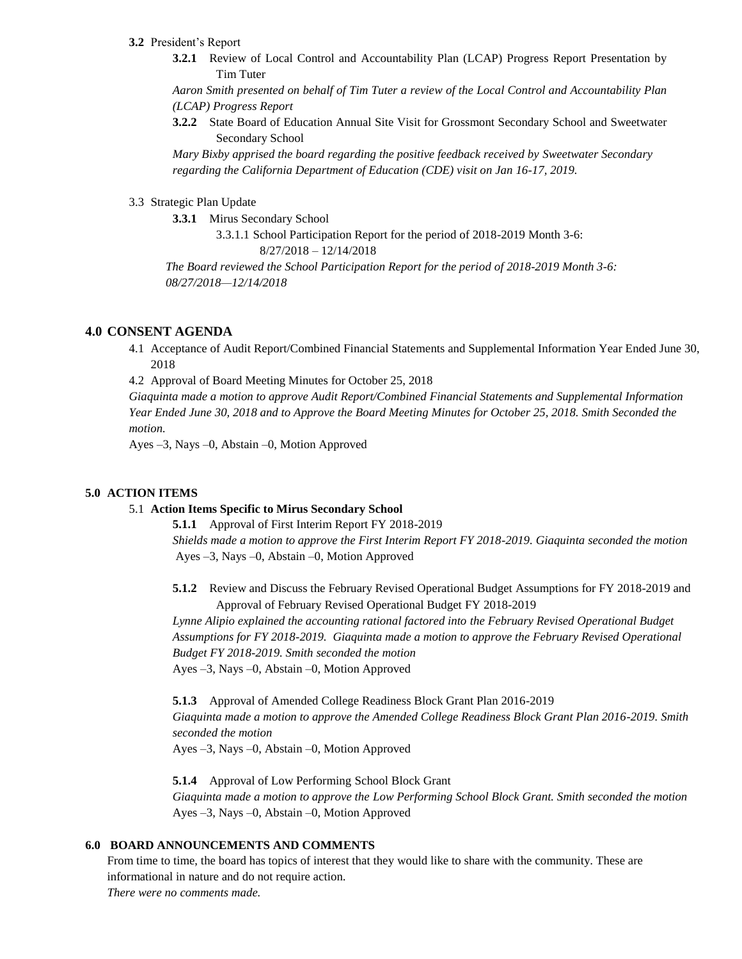#### **3.2** President's Report

**3.2.1** Review of Local Control and Accountability Plan (LCAP) Progress Report Presentation by Tim Tuter

*Aaron Smith presented on behalf of Tim Tuter a review of the Local Control and Accountability Plan (LCAP) Progress Report*

**3.2.2** State Board of Education Annual Site Visit for Grossmont Secondary School and Sweetwater Secondary School

*Mary Bixby apprised the board regarding the positive feedback received by Sweetwater Secondary regarding the California Department of Education (CDE) visit on Jan 16-17, 2019.* 

### 3.3 Strategic Plan Update

**3.3.1** Mirus Secondary School

3.3.1.1 School Participation Report for the period of 2018-2019 Month 3-6: 8/27/2018 – 12/14/2018

*The Board reviewed the School Participation Report for the period of 2018-2019 Month 3-6: 08/27/2018—12/14/2018*

## **4.0 CONSENT AGENDA**

4.1 Acceptance of Audit Report/Combined Financial Statements and Supplemental Information Year Ended June 30, 2018

4.2 Approval of Board Meeting Minutes for October 25, 2018

*Giaquinta made a motion to approve Audit Report/Combined Financial Statements and Supplemental Information Year Ended June 30, 2018 and to Approve the Board Meeting Minutes for October 25, 2018. Smith Seconded the motion.*

Ayes –3, Nays –0, Abstain –0, Motion Approved

### **5.0 ACTION ITEMS**

#### 5.1 **Action Items Specific to Mirus Secondary School**

**5.1.1** Approval of First Interim Report FY 2018-2019

*Shields made a motion to approve the First Interim Report FY 2018-2019. Giaquinta seconded the motion* Ayes –3, Nays –0, Abstain –0, Motion Approved

**5.1.2** Review and Discuss the February Revised Operational Budget Assumptions for FY 2018-2019 and Approval of February Revised Operational Budget FY 2018-2019

Lynne Alipio explained the accounting rational factored into the February Revised Operational Budget *Assumptions for FY 2018-2019. Giaquinta made a motion to approve the February Revised Operational Budget FY 2018-2019. Smith seconded the motion* Ayes –3, Nays –0, Abstain –0, Motion Approved

**5.1.3** Approval of Amended College Readiness Block Grant Plan 2016-2019 *Giaquinta made a motion to approve the Amended College Readiness Block Grant Plan 2016-2019. Smith seconded the motion*

Ayes –3, Nays –0, Abstain –0, Motion Approved

**5.1.4** Approval of Low Performing School Block Grant *Giaquinta made a motion to approve the Low Performing School Block Grant. Smith seconded the motion* Ayes –3, Nays –0, Abstain –0, Motion Approved

#### **6.0 BOARD ANNOUNCEMENTS AND COMMENTS**

From time to time, the board has topics of interest that they would like to share with the community. These are informational in nature and do not require action.

*There were no comments made.*